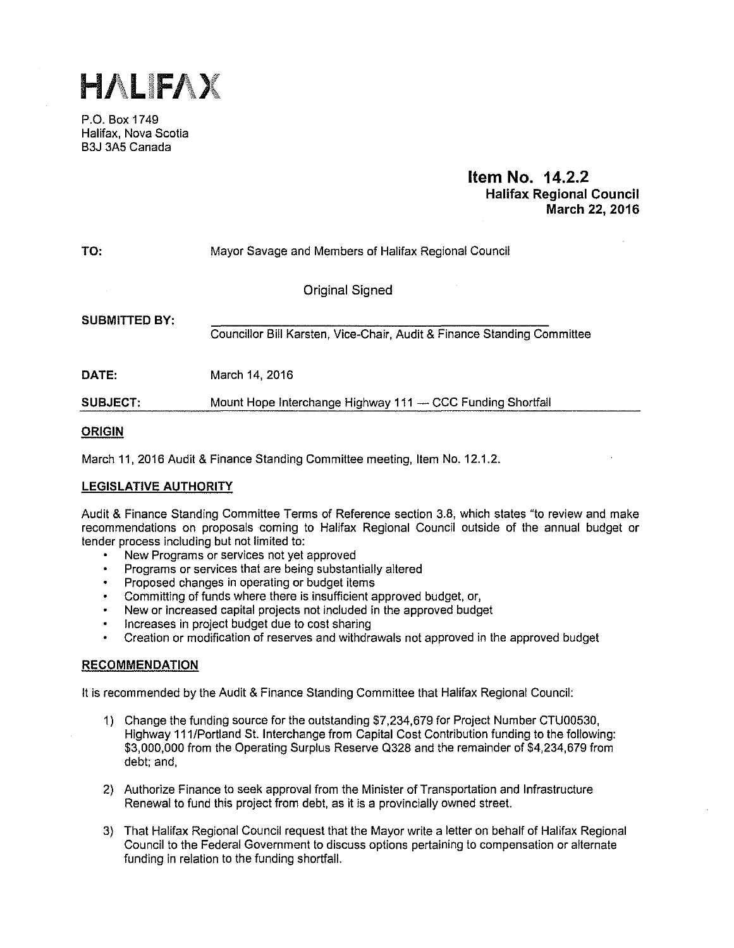

P.O. Box 1749 Halifax, Nova Scotia B3J 3A5 Canada

## **Item No. 14.2.2 Halifax Regional Council March 22, 2016**

| TO:                  | Mayor Savage and Members of Halifax Regional Council                    |  |  |  |  |  |
|----------------------|-------------------------------------------------------------------------|--|--|--|--|--|
|                      | Original Signed                                                         |  |  |  |  |  |
| <b>SUBMITTED BY:</b> | Councillor Bill Karsten, Vice-Chair, Audit & Finance Standing Committee |  |  |  |  |  |
| <b>DATE:</b>         | March 14, 2016                                                          |  |  |  |  |  |
| <b>SUBJECT:</b>      | Mount Hope Interchange Highway 111 - CCC Funding Shortfall              |  |  |  |  |  |

## **ORIGIN**

March 11, 2016 Audit & Finance Standing Committee meeting, Item No. 12.1.2.

## **LEGISLATIVE AUTHORITY**

Audit & Finance Standing Committee Terms of Reference section 3.8, which states "to review and make recommendations on proposals coming to Halifax Regional Council outside of the annual budget or tender process including but not limited to:

- New Programs or services not yet approved
- $\ddot{\phantom{0}}$ Programs or services that are being substantially altered
- Proposed changes in operating or budget items
- Committing of funds where there is insufficient approved budget, or,
- New or increased capital projects not included in the approved budget
- Increases in project budget due to cost sharing
- Creation or modification of reserves and withdrawals not approved in the approved budget

## **RECOMMENDATION**

It is recommended by the Audit & Finance Standing Committee that Halifax Regional Council:

- 1) Change the funding source for the outstanding \$7,234,679 for Project Number CTU00530, Highway 111/Portland St. Interchange from Capital Cost Contribution funding to the following: \$3,000,000 from the Operating Surplus Reserve 0328 and the remainder of \$4,234,679 from debt; and,
- 2) Authorize Finance to seek approval from the Minister of Transportation and Infrastructure Renewal to fund this project from debt, as it is a provincially owned street.
- 3) That Halifax Regional Council request that the Mayor write a letter on behalf of Halifax Regional Council to the Federal Government to discuss options pertaining to compensation or alternate funding in relation to the funding shortfall.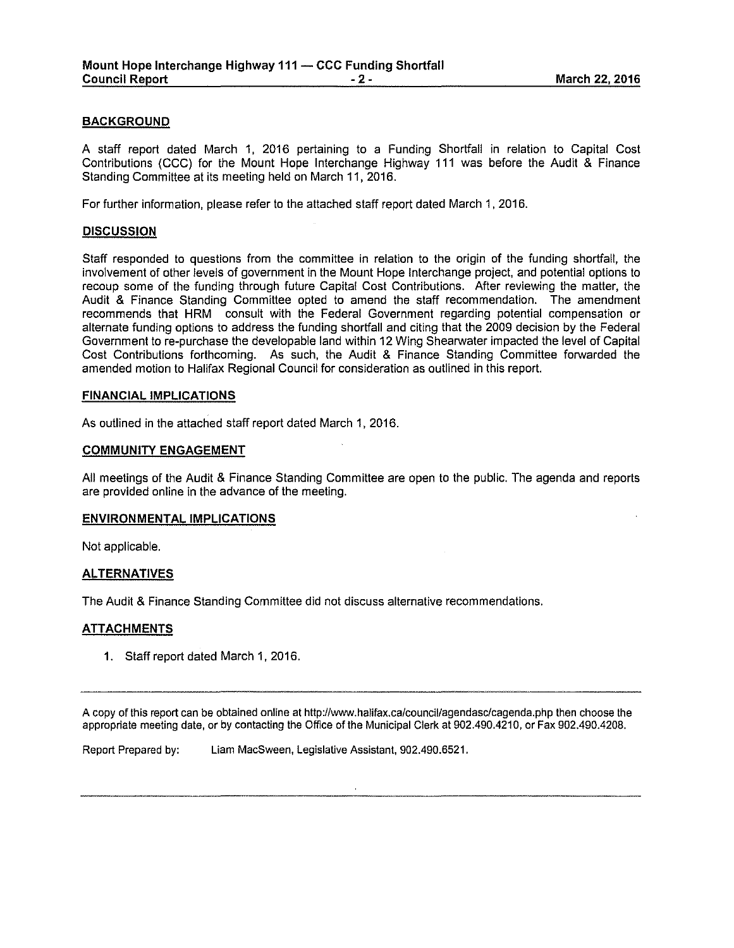## **BACKGROUND**

A staff report dated March 1, 2016 pertaining to a Funding Shortfall in relation to Capital Cost Contributions (CCC) for the Mount Hope Interchange Highway **111** was before the Audit & Finance Standing Committee at its meeting held on March 11, 2016.

For further information, please refer to the attached staff report dated March 1, 2016.

## **DISCUSSION**

Staff responded to questions from the committee in relation to the origin of the funding shortfall, the involvement of other levels of government in the Mount Hope Interchange project, and potential options to recoup some of the funding through future Capital Cost Contributions. After reviewing the matter, the Audit & Finance Standing Committee opted to amend the staff recommendation. The amendment recommends that **HRM** consult with the Federal Government regarding potential compensation or alternate funding options to address the funding shortfall and citing that the 2009 decision by the Federal Government to re-purchase the developable land within 12 Wing Shearwater impacted the level of Capital Cost Contributions forthcoming. As such, the Audit & Finance Standing Committee forwarded the amended motion to Halifax Regional Council for consideration as outlined in this report.

## **FINANCIAL IMPLICATIONS**

As outlined in the attached staff report dated March 1, 2016.

## **COMMUNITY ENGAGEMENT**

All meetings of the Audit & Finance Standing Committee are open to the public. The agenda and reports are provided online in the advance of the meeting.

## **ENVIRONMENTAL IMPLICATIONS**

Not applicable.

## **ALTERNATIVES**

The Audit & Finance Standing Committee did not discuss alternative recommendations.

## **ATTACHMENTS**

**1.** Staff report dated March 1, 2016.

A copy of this report can be obtained online at http://www.halifax.ca/council/agendasclcagenda.php then choose the appropriate meeting date, or by contacting the Office of the Municipal Clerk at 902.490.4210, or Fax 902.490.4208.

Report Prepared by: Liam MacSween, Legislative Assistant, 902.490.6521.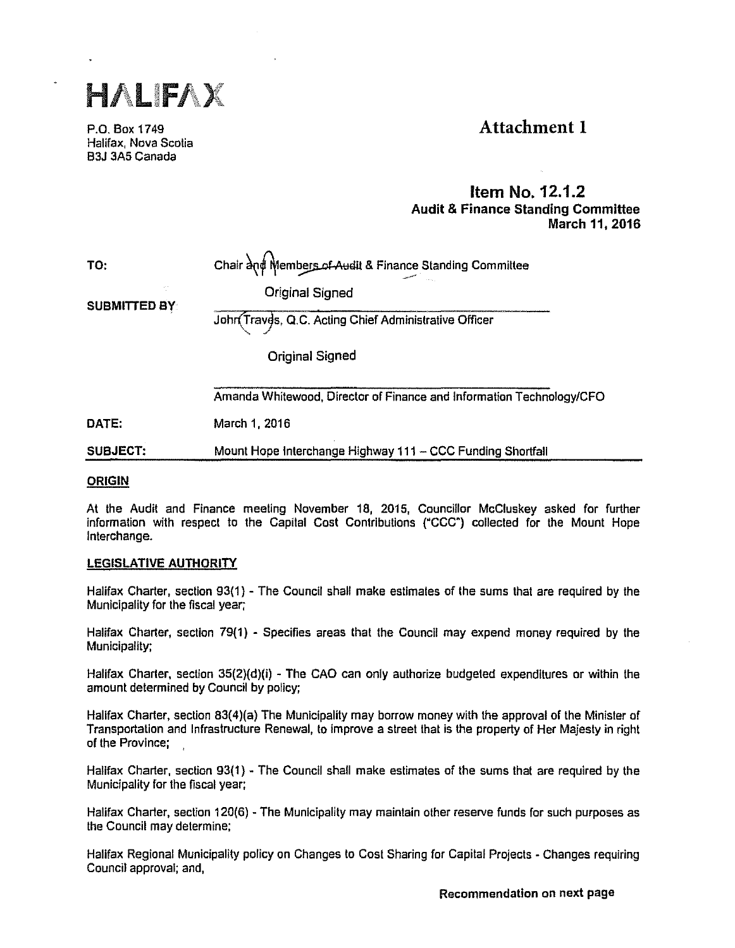

P.O. Box 1749 Halifax, Nova Scotia B3J 3A5 Canada

# Attachment I

## Item No. 12.1.2 Audit & Finance Standing Committee March 11, 2016

Chair and Members of Audit & Finance Standing Committee

TO:

Original Signed

SUBMITTED BY:

John Traves, Q.C. Acting Chief Administrative Officer

Original Signed

Amanda Whitewood, Director of Finance and Information Technology/CFO

DATE: March 1, 2016

SUBJECT: Mount Hope Interchange Highway 111 - CCC Funding Shortfall

## **ORIGIN**

At the Audit and Finance meeting November 18, 2015, Councillor McCluskey asked for further information with respect to the Capital Cost Contributions ("CCC") collected for the Mount Hope Interchange.

## LEGISLATIVE AUTHORITY

Halifax Charter, section 93(1) - The Council shall make estimates of the sums that are required by the Municipality for the fiscal year;

Halifax Charter, section 7g(1) - Specifies areas that the Council may expend money required by the Municipality;

Halifax Charter, section 35(2)(d)(i) - The CAO can only authorize budgeted expenditures or within the amount determined by Council by policy;

Halifax Charter, section 83(4)(a) The Municipality may borrow money with the approval of the Minister of Transportation and Infrastructure Renewal, to improve a street that is the property of Her Majesty in right of the Province;

Halifax Charter, section 93(1) - The Council shall make estimates of the sums that are required by the Municipality for the fiscal year;

Halifax Charter, section 120(6) - The Municipality may maintain other reserve funds for such purposes as the Council may determine;

Halifax Regional Municipality policy on Changes to Cost Sharing for Capital Projects - Changes requiring Council approval; and,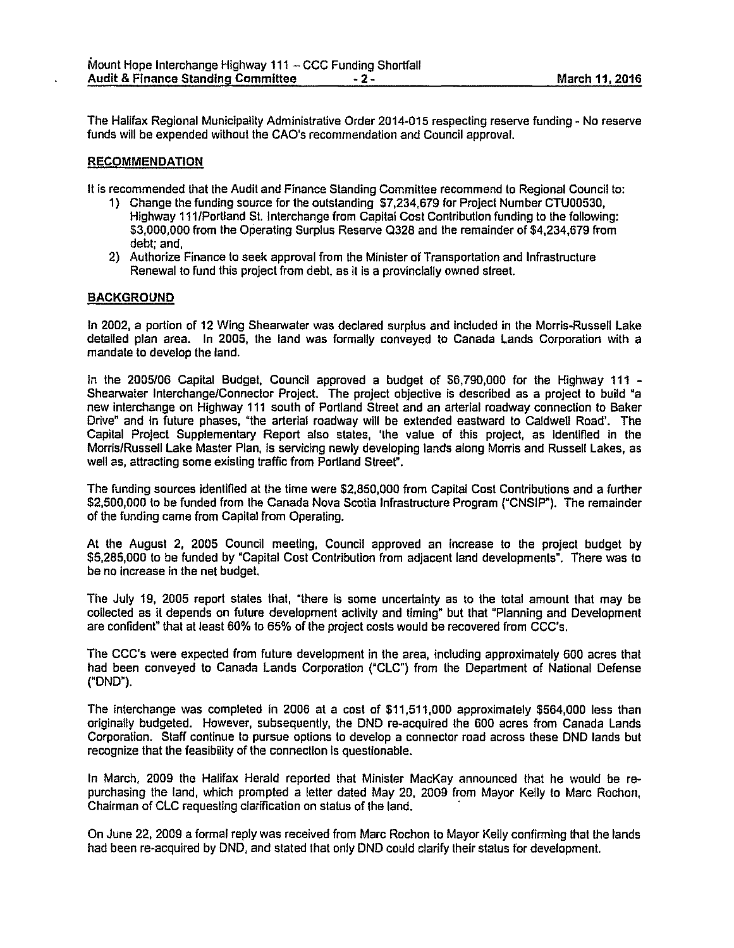The Halifax Regional Municipallly Administrative Order 2014-015 respecting reserve funding - No reserve funds will be expended without the CAO's recommendation and Council approval.

## RECOMMENDATION

It is recommended that the Audit and Finance Standing Committee recommend to Regional Council to:

- 1) Change the funding source for the outstanding \$7,234,67g for Project Number CTU00530, Highway 111 /Portland St. Interchange from Capital Cost Contribution funding to the following: \$3,000,000 from the Operating Surplus Reserve 0328 and the remainder of \$4,234,67g from debt; and,
- 2) Authorize Finance to seek approval from the Minister of Transportation and Infrastructure Renewal to fund this project from debt, as it is a provincially owned street.

## **BACKGROUND**

In 2002, a portion of 12 Wing Shearwater was declared surplus and Included in the Morris-Russell Lake detailed plan area. In 2005, the land was formally conveyed to Canada Lands Corporation with a mandate to develop the land.

In the 2005/06 Capital Budget, Council approved a budget of \$6,790,000 for the Highway 111 -Shearwater Interchange/Connector Project. The project objective is described as a project to build •a new interchange on Highway 111 south of Portland Street and an arterial roadway connection to Baker Drive' and in future phases, "the arterial roadway will be extended eastward to Caldwell Road'. The Capital Project Supplementary Report also states, 'the value of this project, as Identified in the Morris/Russell Lake Master Plan, Is servicing newly developing lands along Morris and Russell Lakes, as well as, attracting some existing traffic from Portland Street'.

The funding sources identified at the time were \$2,850,000 from Capital Cost Contributions and a further \$2,500,000 to be funded from the Canada Nova Scotia Infrastructure Program ("CNSIP"). The remainder of the funding came from Capital from Operating.

At the August 2, 2005 Council meeting, Council approved an increase to the project budget by \$5,285,000 to be funded by "Capital Cost Contribution from adjacent land developments'. There was to be no Increase in the net budget.

The July 19, 2005 report states that, "there is some uncertainty as to the total amount that may be collected as it depends on future development activity and liming' but that "Planning and Development are confident' that at least 60% to 65% of the project costs would be recovered from CCC's.

The CCC's were expected from future development in the area, including approximately 600 acres that had been conveyed to Canada Lands Corporation ("CLC') from the Department of National Defense ("ONO").

The interchange was completed in 2006 at a cost of \$11,511,000 approximately \$564,000 less than originally budgeted. However, subsequently, the ONO re-acquired the 600 acres from Canada Lands Corporation. Staff continue to pursue options to develop a connector road across these ONO lands but recognize that the feasibility of the connection is questionable.

In March, 2009 the Halifax Herald reported that Minister MacKay announced that he would be repurchasing the land, which prompted a letter dated May 20, 2oog from Mayor Kelly to Marc Rochon, Chairman of CLC requesting clarification on status of the land. ·

On June 22, 2oog a formal reply was received from Marc Rochon to Mayor Kelly confirming that the lands had been re-acquired by DND, and stated that only ONO could clarify their status for development.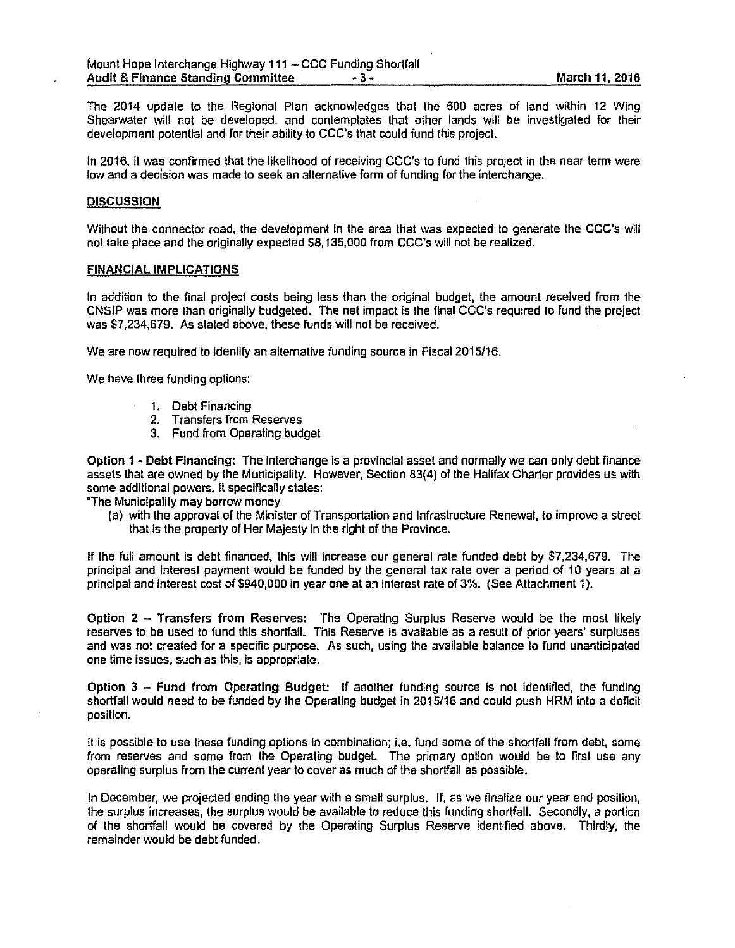The 2014 update to the Regional Plan acknowledges that the 600 acres of land within 12 Wing Shearwater will not be developed, and contemplates that other lands will be investigated for their development potential and for their ability to CCC's that could fund this project.

In 2016, ii was confirmed that the likelihood of receiving CCC's to fund this project in the near term were low and a decision was made to seek an alternative form of funding for the interchange.

#### **DISCUSSION**

Without the connector road, the development in the area that was expected to generate the CCC's will not take place and the originally expected \$8, 135,000 from CCC's will not be realized.

#### FINANCIAL IMPLICATIONS

In addition to the final project costs being less lhan the original budget, the amount received from the CNSIP was more than originally budgeted. The nel impact is the final CCC's required to fund the project was \$7,234,679. As stated above, these funds will not be received.

We are now required to identify an alternative funding source in Fiscal 2015/16.

We have three funding options:

- 1. Debt Financing
- 2. Transfers from Reserves
- 3. Fund from Operating budget

Option 1 - Debt Financing: The interchange is a provincial asset and normally we can only debt finance assets that are owned by the Municipality. However, Section 83(4) of the Halifax Charter provides us with some additional powers. It specifically states:

"The Municipality may borrow money

(a) with the approval of the Minister of Transportation and Infrastructure Renewal, to improve a street that is the property of Her Majesty in the right of the Province.

If the full amount is debt financed, this will increase our general rate funded debl by \$7,234,679. The principal and interest payment would be funded by the general tax rate over a period of 10 years at a principal and interest cost of \$940,000 in year one at an interest rate of 3%. (See Attachment 1).

Option 2 - Transfers from Reserves: The Operating Surplus Reserve would be the most likely reserves to be used to fund this shortfall. This Reserve is available as a result of prior years' surpluses and was not created for a specific purpose. As such, using the available balance to fund unanticipated one time issues, such as this, is appropriate.

Option 3 - Fund from Operating Budget: If another funding source is not identified, the funding shortfall would need to be funded by the Operating budget in 2015/16 and could push HRM Into a deficit position.

It Is possible to use these funding options in combination; i.e. fund some of the shortfall from debt, some from reserves and some from the Operating budget. The primary option would be to first use any operating surplus from the current year to cover as much of the shortfall as possible.

In December, we projected ending the year with a small surplus. If, as we finalize our year end position, the surplus increases, the surplus would be available to reduce this funding shortfall. Secondly, a portion of the shortfall would be covered by the Operating Surplus Reserve Identified above. Thirdly, the remainder would be debt funded.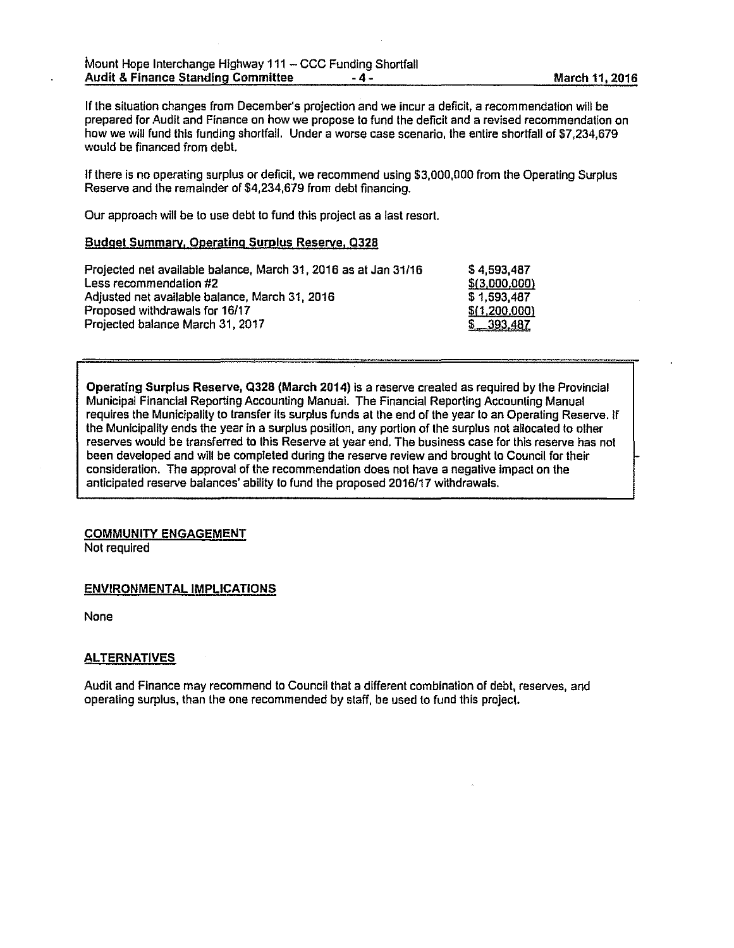If the situation changes from December's projection and we incur a deficit, a recommendation will be prepared for Audit and Finance on how we propose to fund the deficit and a revised recommendation on how we will fund this funding shortfall. Under a worse case scenario, the entire shortfall of \$7,234,679 would be financed from debt

If there is no operating surplus or deficit, we recommend using \$3,000,000 from the Operating Surplus Reserve and lhe remainder of \$4,234,679 from debt financing.

Our approach will be to use debt to fund this project as a last resort.

## Budget Summary, Operating Surplus Reserve, 0328

| Projected net available balance, March 31, 2016 as at Jan 31/16 | \$4.593.487   |
|-----------------------------------------------------------------|---------------|
| Less recommendation #2                                          | \$(3,000,000) |
| Adjusted net available balance, March 31, 2016                  | \$1.593.487   |
| Proposed withdrawals for 16/17                                  | \$(1,200,000) |
| Projected balance March 31, 2017                                | \$ 393,487    |

Operating Surplus Reserve, Q328 (March 2014) is a reserve created as required by the Provincial Municipal Financial Reporting Accounting Manual. The Financial Reporting Accounting Manual requires the Municipality to transfer its surplus funds at the end of the year to an Operating Reserve. If the Municipality ends the year in a surplus position, any portion of the surplus not allocated to other reserves would be transferred to this Reserve at year end. The business case for this reserve has not been developed and will be completed during the reserve review and brought to Council for their consideration. The approval of the recommendation does not have a negative impact on the anticipated reserve balances' ability to fund the proposed 2016117 withdrawals.

## COMMUNITY ENGAGEMENT

Not required

## ENVIRONMENTAL IMPLICATIONS

None

## **ALTERNATIVES**

Audit and Finance may recommend to Council that a different combination of debt, reserves, and operating surplus, than the one recommended by staff, be used to fund this project.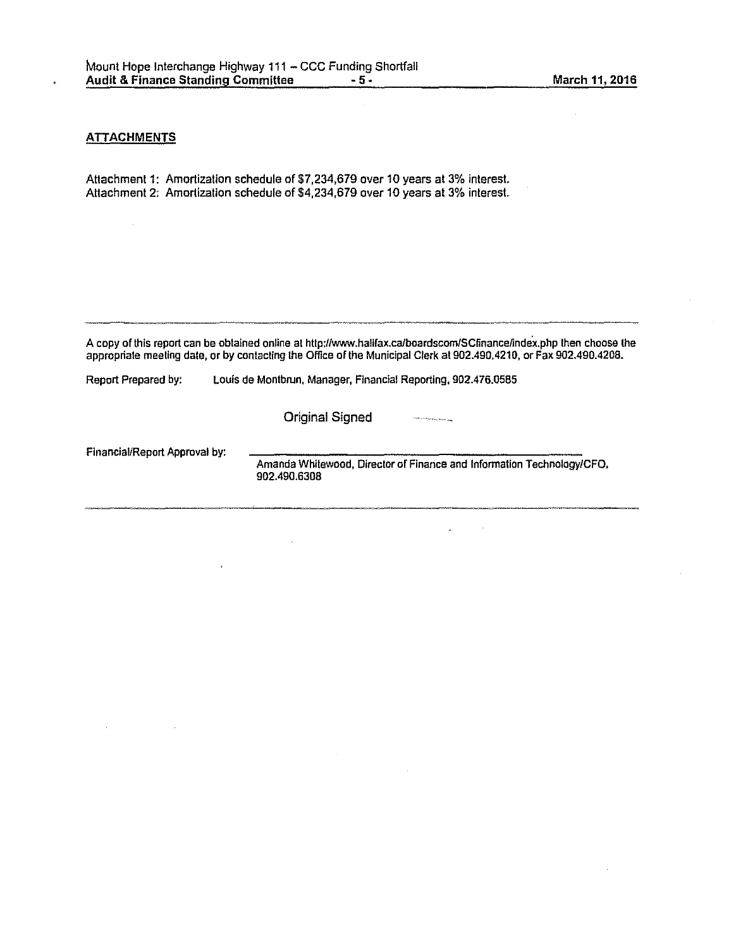## **ATTACHMENTS**

Attachment 1: Amortization schedule of \$7,234,679 over 10 years at 3% interest. Attachment 2: Amortization schedule of \$4,234,679 over 10 years at 3% interest.

A copy of this report can be obtained online at http://www.halifax.ca/boardscom/SCfinance/index.php then choose the appropriate meeting date, or by contacting the Office of the Municipal Clerk at 902.490.4210, or Fax 902.490.4208.

Report Prepared by: Louis de Montbrun, Manager, Financial Reporting, 902.476.0585

 $\bar{a}$ 

Original Signed

Financial/Report Approval by:

Amanda Whitewood, Director of Finance and Information Technology/CFO, 902.490.6308

**Chartras al al manders of the set of the co**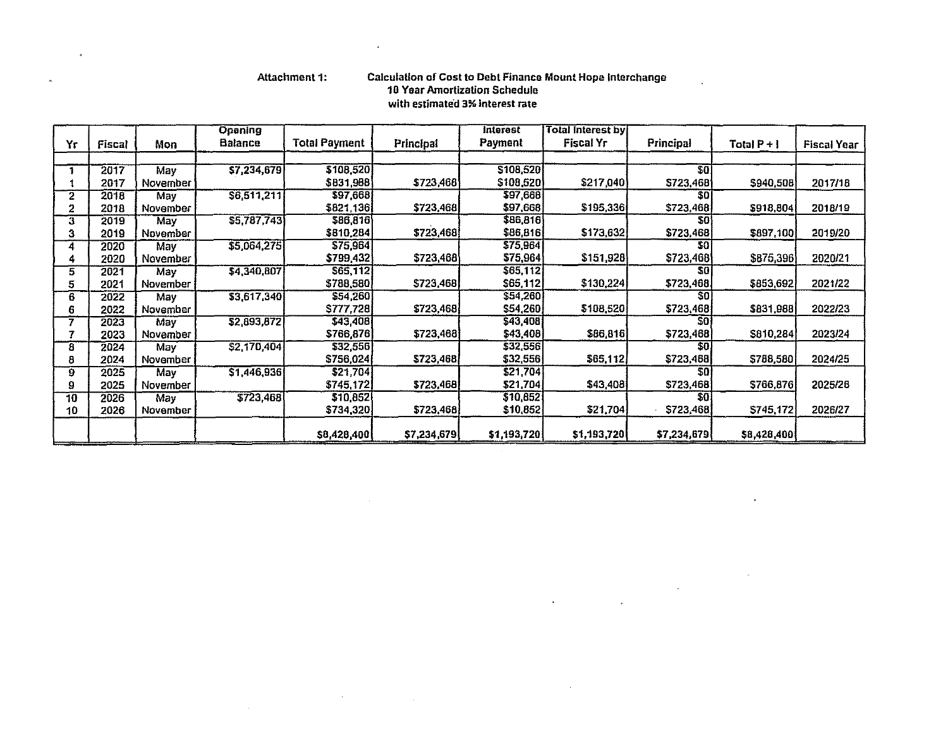$\ddot{\phantom{a}}$ 

 $\alpha$ 

 $\sim$ 

 $\sim 10^{-1}$ 

## Attachment 1: Calculation of Cost to Debt Finance Mount Hope Interchange 10 Yoar Amortization Schedule with estimated 3% interest rate

 $\mathcal{L}^{\mathcal{L}}$ 

 $\hat{\mathbf{a}}$ 

 $\sim 10$ 

 $\label{eq:2.1} \begin{aligned} \mathbf{A}^{(1)} &= \mathbf{A}^{(1)}\mathbf{A}^{(1)}\mathbf{A}^{(1)}\mathbf{A}^{(1)}\mathbf{A}^{(1)}\mathbf{A}^{(1)}\mathbf{A}^{(1)}\mathbf{A}^{(1)}\mathbf{A}^{(1)}\mathbf{A}^{(1)}\mathbf{A}^{(1)}\mathbf{A}^{(1)}\mathbf{A}^{(1)}\mathbf{A}^{(1)}\mathbf{A}^{(1)}\mathbf{A}^{(1)}\mathbf{A}^{(1)}\mathbf{A}^{(1)}\mathbf{A}^{(1)}\mathbf{A$ 

 $\ddot{\phantom{a}}$ 

 $\,$   $\,$ 

|              |        |            | <b>Opening</b> |                      |                  | <b>Interest</b> | <b>Total Interest by</b> |                 |               |                    |
|--------------|--------|------------|----------------|----------------------|------------------|-----------------|--------------------------|-----------------|---------------|--------------------|
| Yr           | Fiscal | Mon        | Balance        | <b>Total Payment</b> | <b>Principal</b> | Payment         | Fiscal Yr                | Principal       | Total $P + I$ | <b>Fiscal Year</b> |
|              |        |            |                |                      |                  |                 |                          |                 |               |                    |
|              | 2017   | May        | \$7,234,679    | \$108,520            |                  | \$108,520       |                          | 30 <sup>1</sup> |               |                    |
|              | 2017   | November   |                | \$831,988            | \$723,468        | \$108,520)      | \$217,040                | \$723,468       | \$940,508     | 2017/18            |
| $\mathbf{2}$ | 2018   | May        | S6, 511, 211   | \$97,668             |                  | \$97,668        |                          | 301             |               |                    |
| 2            | 2018   | November   |                | \$821,136            | \$723,468        | \$97,668        | \$195,336                | \$723,468       | \$918,804     | 2018/19            |
| 3            | 2019   | May        | \$5,787,743    | \$86,816             |                  | \$86,816        |                          | 50              |               |                    |
| 3            | 2019   | November   |                | \$810,284            | \$723,468        | \$86,816        | \$173,632                | \$723,468       | \$897,100     | 2019/20            |
| 4            | 2020   | May        | \$5,064,275    | \$75,964             |                  | \$75,964        |                          | SO <sub>1</sub> |               |                    |
| 4            | 2020   | November   |                | \$799,432            | \$723,468        | \$75,964        | \$151,928                | \$723,468       | \$875,396     | 2020/21            |
| 5            | 2021   | May        | \$4,340,807    | \$65,112             |                  | \$65,112        |                          | 50              |               |                    |
| 5            | 2021   | November   |                | \$788,580            | \$723,468        | \$65,112        | \$130,224                | \$723,468       | \$853,692     | 2021/22            |
| 6            | 2022   | May        | 33,617,340     | \$54,260             |                  | \$54,260        |                          | \$0\$           |               |                    |
| 6            | 2022   | November   |                | \$777,728            | \$723,468        | \$54,260        | \$108,520                | \$723,468       | \$831,988     | 2022/23            |
|              | 2023   | May        | \$2,893,872    | \$43,408             |                  | \$43,408        |                          | SO.             |               |                    |
| 7            | 2023   | November   |                | \$766,876            | \$723,468        | \$43,408        | \$86,816                 | \$723,468       | \$810,284     | 2023/24            |
| 8            | 2024   | <b>May</b> | \$2,170,404    | \$32,556             |                  | \$32,556        |                          | SO I            |               |                    |
| 8            | 2024   | November   |                | \$756,024            | \$723,468        | \$32,556        | \$65,112                 | \$723,468       | \$788,580     | 2024/25            |
| 9            | 2025   | May        | \$1,446,936    | \$21,704             |                  | \$21,704        |                          | \$0\$           |               |                    |
| 9            | 2025   | November   |                | \$745,172            | \$723,468        | \$21,704        | \$43,408                 | \$723,468       | \$766,876     | 2025/26            |
| 10           | 2026   | May        | 5723,468       | \$10,852             |                  | \$10,852        |                          | \$0             |               |                    |
| 10           | 2026   | November   |                | \$734,320]           | \$723,468        | \$10,852        | \$21,704                 | \$723,468       | \$745,172     | 2026/27            |
|              |        |            |                | \$8,428,400          | \$7,234,679      | \$1,193,720     | \$1,193,720              | \$7,234,679     | \$8,428,400   |                    |